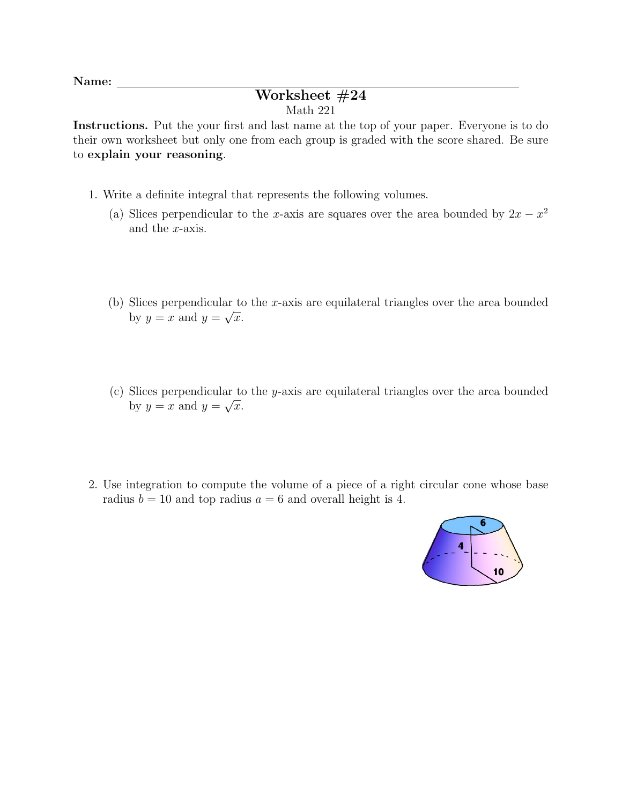Name:

## Worksheet #24 Math 221

Instructions. Put the your first and last name at the top of your paper. Everyone is to do their own worksheet but only one from each group is graded with the score shared. Be sure to explain your reasoning.

- 1. Write a definite integral that represents the following volumes.
	- (a) Slices perpendicular to the x-axis are squares over the area bounded by  $2x x^2$ and the x-axis.
	- (b) Slices perpendicular to the x-axis are equilateral triangles over the area bounded by  $y = x$  and  $y = \sqrt{x}$ .
	- (c) Slices perpendicular to the y-axis are equilateral triangles over the area bounded by  $y = x$  and  $y = \sqrt{x}$ .
- 2. Use integration to compute the volume of a piece of a right circular cone whose base radius  $b = 10$  and top radius  $a = 6$  and overall height is 4.